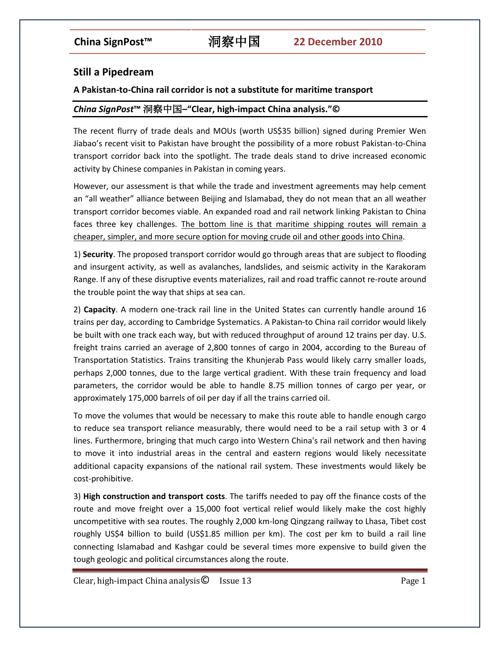# **Still a Pipedream**

### **A Pakistan-to-China rail corridor is not a substitute for maritime transport**

## *China SignPost***™** 洞察中国**–"Clear, high-impact China analysis."©**

The recent flurry of trade deals and MOUs (worth US\$35 billion) signed during Premier Wen Jiabao's recent visit to Pakistan have brought the possibility of a more robust Pakistan-to-China transport corridor back into the spotlight. The trade deals stand to drive increased economic activity by Chinese companies in Pakistan in coming years.

However, our assessment is that while the trade and investment agreements may help cement an "all weather" alliance between Beijing and Islamabad, they do not mean that an all weather transport corridor becomes viable. An expanded road and rail network linking Pakistan to China faces three key challenges. The bottom line is that maritime shipping routes will remain a cheaper, simpler, and more secure option for moving crude oil and other goods into China.

1) **Security**. The proposed transport corridor would go through areas that are subject to flooding and insurgent activity, as well as avalanches, landslides, and seismic activity in the Karakoram Range. If any of these disruptive events materializes, rail and road traffic cannot re-route around the trouble point the way that ships at sea can.

2) **Capacity**. A modern one-track rail line in the United States can currently handle around 16 trains per day, according to Cambridge Systematics. A Pakistan-to China rail corridor would likely be built with one track each way, but with reduced throughput of around 12 trains per day. U.S. freight trains carried an average of 2,800 tonnes of cargo in 2004, according to the Bureau of Transportation Statistics. Trains transiting the Khunjerab Pass would likely carry smaller loads, perhaps 2,000 tonnes, due to the large vertical gradient. With these train frequency and load parameters, the corridor would be able to handle 8.75 million tonnes of cargo per year, or approximately 175,000 barrels of oil per day if all the trains carried oil.

To move the volumes that would be necessary to make this route able to handle enough cargo to reduce sea transport reliance measurably, there would need to be a rail setup with 3 or 4 lines. Furthermore, bringing that much cargo into Western China's rail network and then having to move it into industrial areas in the central and eastern regions would likely necessitate additional capacity expansions of the national rail system. These investments would likely be cost-prohibitive.

3) **High construction and transport costs**. The tariffs needed to pay off the finance costs of the route and move freight over a 15,000 foot vertical relief would likely make the cost highly uncompetitive with sea routes. The roughly 2,000 km-long Qingzang railway to Lhasa, Tibet cost roughly US\$4 billion to build (US\$1.85 million per km). The cost per km to build a rail line connecting Islamabad and Kashgar could be several times more expensive to build given the tough geologic and political circumstances along the route.

Clear, high-impact China analysis  $\bullet$  Issue 13 Page 1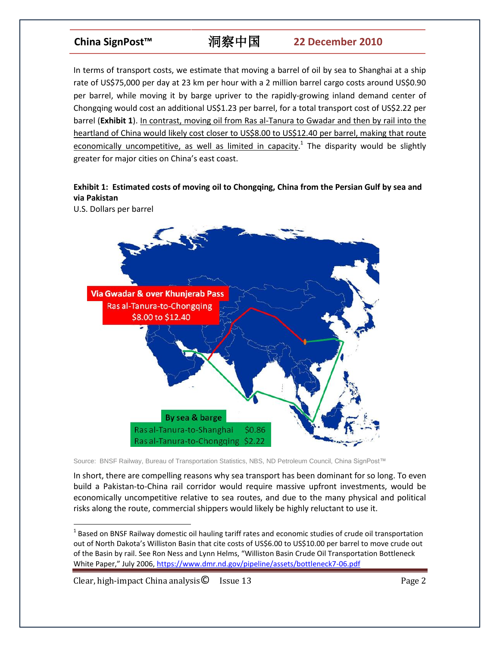# **China SignPost™** 洞察中国 **22 December 2010**

In terms of transport costs, we estimate that moving a barrel of oil by sea to Shanghai at a ship rate of US\$75,000 per day at 23 km per hour with a 2 million barrel cargo costs around US\$0.90 per barrel, while moving it by barge upriver to the rapidly-growing inland demand center of Chongqing would cost an additional US\$1.23 per barrel, for a total transport cost of US\$2.22 per barrel (**Exhibit 1**). In contrast, moving oil from Ras al-Tanura to Gwadar and then by rail into the heartland of China would likely cost closer to US\$8.00 to US\$12.40 per barrel, making that route economically uncompetitive, as well as limited in capacity.<sup>1</sup> The disparity would be slightly greater for major cities on China's east coast.

## **Exhibit 1: Estimated costs of moving oil to Chongqing, China from the Persian Gulf by sea and via Pakistan**

U.S. Dollars per barrel



Source: BNSF Railway, Bureau of Transportation Statistics, NBS, ND Petroleum Council, China SignPost™

In short, there are compelling reasons why sea transport has been dominant for so long. To even build a Pakistan-to-China rail corridor would require massive upfront investments, would be economically uncompetitive relative to sea routes, and due to the many physical and political risks along the route, commercial shippers would likely be highly reluctant to use it.

Clear, high-impact China analysis C Issue 13 Page 2

 $\overline{\phantom{a}}$ 

 $^{1}$  Based on BNSF Railway domestic oil hauling tariff rates and economic studies of crude oil transportation out of North Dakota's Williston Basin that cite costs of US\$6.00 to US\$10.00 per barrel to move crude out of the Basin by rail. See Ron Ness and Lynn Helms, "Williston Basin Crude Oil Transportation Bottleneck White Paper," July 2006, <https://www.dmr.nd.gov/pipeline/assets/bottleneck7-06.pdf>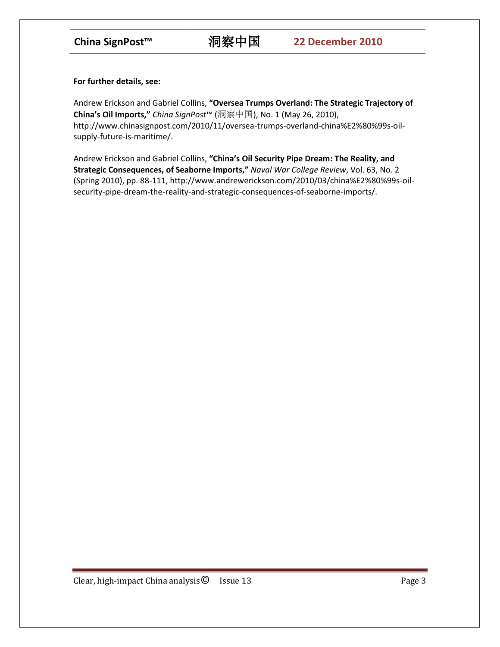**For further details, see:**

Andrew Erickson and Gabriel Collins, **"Oversea Trumps Overland: The Strategic Trajectory of China's Oil Imports,"** *China SignPost*™ (洞察中国), No. 1 (May 26, 2010), http://www.chinasignpost.com/2010/11/oversea-trumps-overland-china%E2%80%99s-oilsupply-future-is-maritime/.

Andrew Erickson and Gabriel Collins, **"China's Oil Security Pipe Dream: The Reality, and Strategic Consequences, of Seaborne Imports,"** *Naval War College Review*, Vol. 63, No. 2 (Spring 2010), pp. 88-111, http://www.andrewerickson.com/2010/03/china%E2%80%99s-oilsecurity-pipe-dream-the-reality-and-strategic-consequences-of-seaborne-imports/.